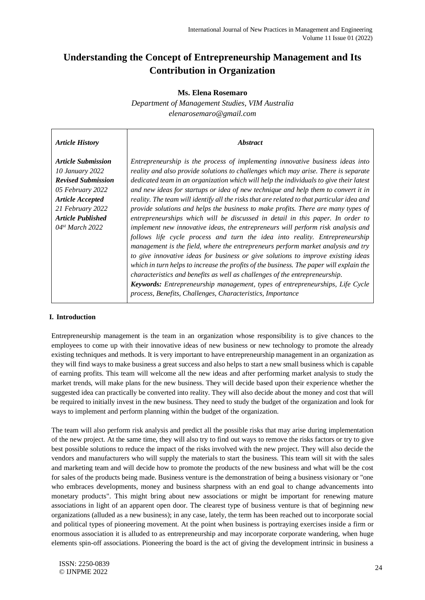# **Understanding the Concept of Entrepreneurship Management and Its Contribution in Organization**

#### **Ms. Elena Rosemaro**

*Department of Management Studies, VIM Australia elenarosemaro@gmail.com* 

| <b>Article History</b>                                                                                                                                                                                  | <i><b>Abstract</b></i>                                                                                                                                                                                                                                                                                                                                                                                                                                                                                                                                                                                                                                                                                                                                                                                                                                                                                                                                                                                                                                                                                                                                                                                                                                                                                 |
|---------------------------------------------------------------------------------------------------------------------------------------------------------------------------------------------------------|--------------------------------------------------------------------------------------------------------------------------------------------------------------------------------------------------------------------------------------------------------------------------------------------------------------------------------------------------------------------------------------------------------------------------------------------------------------------------------------------------------------------------------------------------------------------------------------------------------------------------------------------------------------------------------------------------------------------------------------------------------------------------------------------------------------------------------------------------------------------------------------------------------------------------------------------------------------------------------------------------------------------------------------------------------------------------------------------------------------------------------------------------------------------------------------------------------------------------------------------------------------------------------------------------------|
| <b>Article Submission</b><br>10 January 2022<br><b>Revised Submission</b><br>05 February 2022<br><b>Article Accepted</b><br>21 February 2022<br><b>Article Published</b><br>04 <sup>st</sup> March 2022 | Entrepreneurship is the process of implementing innovative business ideas into<br>reality and also provide solutions to challenges which may arise. There is separate<br>dedicated team in an organization which will help the individuals to give their latest<br>and new ideas for startups or idea of new technique and help them to convert it in<br>reality. The team will identify all the risks that are related to that particular idea and<br>provide solutions and helps the business to make profits. There are many types of<br>entrepreneurships which will be discussed in detail in this paper. In order to<br>implement new innovative ideas, the entrepreneurs will perform risk analysis and<br>follows life cycle process and turn the idea into reality. Entrepreneurship<br>management is the field, where the entrepreneurs perform market analysis and try<br>to give innovative ideas for business or give solutions to improve existing ideas<br>which in turn helps to increase the profits of the business. The paper will explain the<br>characteristics and benefits as well as challenges of the entrepreneurship.<br><b>Keywords:</b> Entrepreneurship management, types of entrepreneurships, Life Cycle<br>process, Benefits, Challenges, Characteristics, Importance |

#### **I. Introduction**

Entrepreneurship management is the team in an organization whose responsibility is to give chances to the employees to come up with their innovative ideas of new business or new technology to promote the already existing techniques and methods. It is very important to have entrepreneurship management in an organization as they will find ways to make business a great success and also helps to start a new small business which is capable of earning profits. This team will welcome all the new ideas and after performing market analysis to study the market trends, will make plans for the new business. They will decide based upon their experience whether the suggested idea can practically be converted into reality. They will also decide about the money and cost that will be required to initially invest in the new business. They need to study the budget of the organization and look for ways to implement and perform planning within the budget of the organization.

The team will also perform risk analysis and predict all the possible risks that may arise during implementation of the new project. At the same time, they will also try to find out ways to remove the risks factors or try to give best possible solutions to reduce the impact of the risks involved with the new project. They will also decide the vendors and manufacturers who will supply the materials to start the business. This team will sit with the sales and marketing team and will decide how to promote the products of the new business and what will be the cost for sales of the products being made. Business venture is the demonstration of being a business visionary or "one who embraces developments, money and business sharpness with an end goal to change advancements into monetary products". This might bring about new associations or might be important for renewing mature associations in light of an apparent open door. The clearest type of business venture is that of beginning new organizations (alluded as a new business); in any case, lately, the term has been reached out to incorporate social and political types of pioneering movement. At the point when business is portraying exercises inside a firm or enormous association it is alluded to as entrepreneurship and may incorporate corporate wandering, when huge elements spin-off associations. Pioneering the board is the act of giving the development intrinsic in business a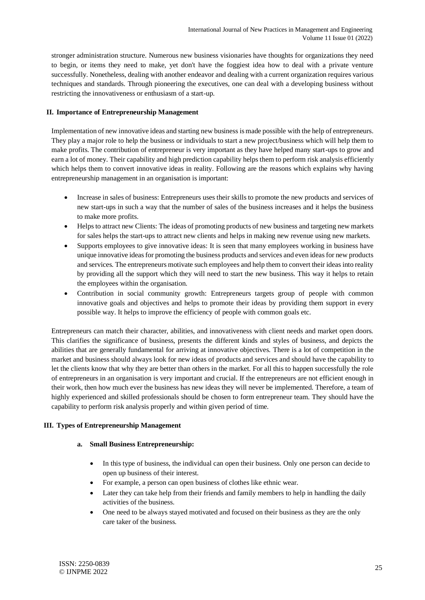stronger administration structure. Numerous new business visionaries have thoughts for organizations they need to begin, or items they need to make, yet don't have the foggiest idea how to deal with a private venture successfully. Nonetheless, dealing with another endeavor and dealing with a current organization requires various techniques and standards. Through pioneering the executives, one can deal with a developing business without restricting the innovativeness or enthusiasm of a start-up.

#### **II. Importance of Entrepreneurship Management**

Implementation of new innovative ideas and starting new business is made possible with the help of entrepreneurs. They play a major role to help the business or individuals to start a new project/business which will help them to make profits. The contribution of entrepreneur is very important as they have helped many start-ups to grow and earn a lot of money. Their capability and high prediction capability helps them to perform risk analysis efficiently which helps them to convert innovative ideas in reality. Following are the reasons which explains why having entrepreneurship management in an organisation is important:

- Increase in sales of business: Entrepreneurs uses their skills to promote the new products and services of new start-ups in such a way that the number of sales of the business increases and it helps the business to make more profits.
- Helps to attract new Clients: The ideas of promoting products of new business and targeting new markets for sales helps the start-ups to attract new clients and helps in making new revenue using new markets.
- Supports employees to give innovative ideas: It is seen that many employees working in business have unique innovative ideas for promoting the business products and services and even ideas for new products and services. The entrepreneurs motivate such employees and help them to convert their ideas into reality by providing all the support which they will need to start the new business. This way it helps to retain the employees within the organisation.
- Contribution in social community growth: Entrepreneurs targets group of people with common innovative goals and objectives and helps to promote their ideas by providing them support in every possible way. It helps to improve the efficiency of people with common goals etc.

Entrepreneurs can match their character, abilities, and innovativeness with client needs and market open doors. This clarifies the significance of business, presents the different kinds and styles of business, and depicts the abilities that are generally fundamental for arriving at innovative objectives. There is a lot of competition in the market and business should always look for new ideas of products and services and should have the capability to let the clients know that why they are better than others in the market. For all this to happen successfully the role of entrepreneurs in an organisation is very important and crucial. If the entrepreneurs are not efficient enough in their work, then how much ever the business has new ideas they will never be implemented. Therefore, a team of highly experienced and skilled professionals should be chosen to form entrepreneur team. They should have the capability to perform risk analysis properly and within given period of time.

#### **III. Types of Entrepreneurship Management**

#### **a. Small Business Entrepreneurship:**

- In this type of business, the individual can open their business. Only one person can decide to open up business of their interest.
- For example, a person can open business of clothes like ethnic wear.
- Later they can take help from their friends and family members to help in handling the daily activities of the business.
- One need to be always stayed motivated and focused on their business as they are the only care taker of the business.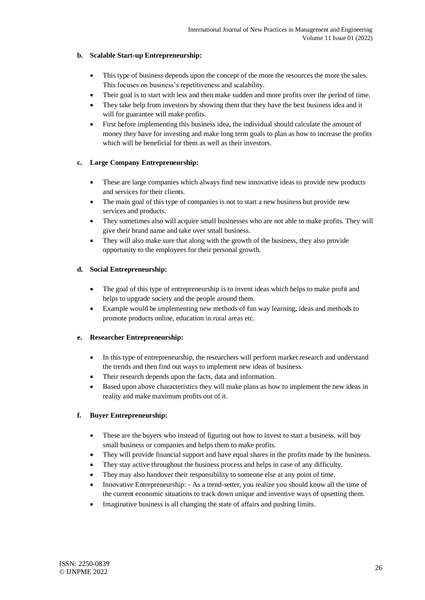## **b. Scalable Start-up Entrepreneurship:**

- This type of business depends upon the concept of the more the resources the more the sales. This focuses on business's repetitiveness and scalability.
- Their goal is to start with less and then make sudden and more profits over the period of time.
- They take help from investors by showing them that they have the best business idea and it will for guarantee will make profits.
- First before implementing this business idea, the individual should calculate the amount of money they have for investing and make long term goals to plan as how to increase the profits which will be beneficial for them as well as their investors.

## **c. Large Company Entrepreneurship:**

- These are large companies which always find new innovative ideas to provide new products and services for their clients.
- The main goal of this type of companies is not to start a new business but provide new services and products.
- They sometimes also will acquire small businesses who are not able to make profits. They will give their brand name and take over small business.
- They will also make sure that along with the growth of the business, they also provide opportunity to the employees for their personal growth.

#### **d. Social Entrepreneurship:**

- The goal of this type of entrepreneurship is to invent ideas which helps to make profit and helps to upgrade society and the people around them.
- Example would be implementing new methods of fun way learning, ideas and methods to promote products online, education in rural areas etc.

#### **e. Researcher Entrepreneurship:**

- In this type of entrepreneurship, the researchers will perform market research and understand the trends and then find out ways to implement new ideas of business.
- Their research depends upon the facts, data and information.
- Based upon above characteristics they will make plans as how to implement the new ideas in reality and make maximum profits out of it.

# **f. Buyer Entrepreneurship:**

- These are the buyers who instead of figuring out how to invest to start a business, will buy small business or companies and helps them to make profits.
- They will provide financial support and have equal shares in the profits made by the business.
- They stay active throughout the business process and helps in case of any difficulty.
- They may also handover their responsibility to someone else at any point of time.
- Innovative Entrepreneurship: As a trend-setter, you realize you should know all the time of the current economic situations to track down unique and inventive ways of upsetting them.
- Imaginative business is all changing the state of affairs and pushing limits.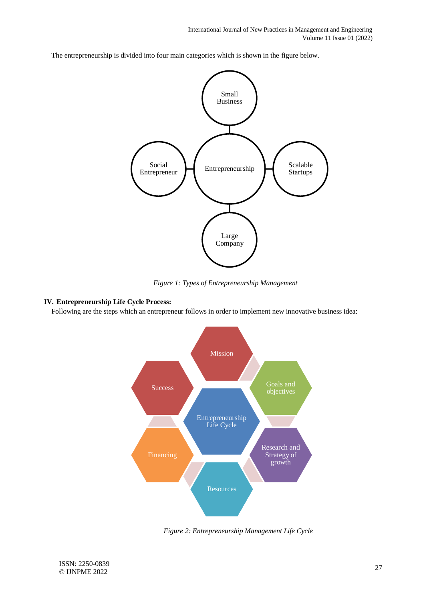The entrepreneurship is divided into four main categories which is shown in the figure below.



*Figure 1: Types of Entrepreneurship Management*

## **IV. Entrepreneurship Life Cycle Process:**

Following are the steps which an entrepreneur follows in order to implement new innovative business idea:



*Figure 2: Entrepreneurship Management Life Cycle*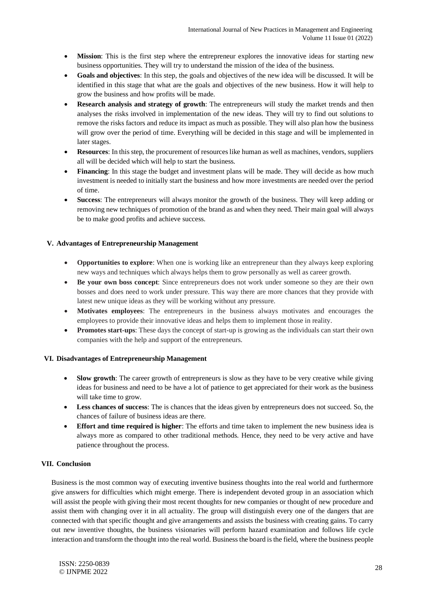- **Mission**: This is the first step where the entrepreneur explores the innovative ideas for starting new business opportunities. They will try to understand the mission of the idea of the business.
- **Goals and objectives**: In this step, the goals and objectives of the new idea will be discussed. It will be identified in this stage that what are the goals and objectives of the new business. How it will help to grow the business and how profits will be made.
- **Research analysis and strategy of growth**: The entrepreneurs will study the market trends and then analyses the risks involved in implementation of the new ideas. They will try to find out solutions to remove the risks factors and reduce its impact as much as possible. They will also plan how the business will grow over the period of time. Everything will be decided in this stage and will be implemented in later stages.
- **Resources**: In this step, the procurement of resources like human as well as machines, vendors, suppliers all will be decided which will help to start the business.
- **Financing**: In this stage the budget and investment plans will be made. They will decide as how much investment is needed to initially start the business and how more investments are needed over the period of time.
- **Success**: The entrepreneurs will always monitor the growth of the business. They will keep adding or removing new techniques of promotion of the brand as and when they need. Their main goal will always be to make good profits and achieve success.

#### **V. Advantages of Entrepreneurship Management**

- **Opportunities to explore**: When one is working like an entrepreneur than they always keep exploring new ways and techniques which always helps them to grow personally as well as career growth.
- **Be your own boss concept**: Since entrepreneurs does not work under someone so they are their own bosses and does need to work under pressure. This way there are more chances that they provide with latest new unique ideas as they will be working without any pressure.
- **Motivates employees**: The entrepreneurs in the business always motivates and encourages the employees to provide their innovative ideas and helps them to implement those in reality.
- **Promotes start-ups**: These days the concept of start-up is growing as the individuals can start their own companies with the help and support of the entrepreneurs.

#### **VI. Disadvantages of Entrepreneurship Management**

- **Slow growth**: The career growth of entrepreneurs is slow as they have to be very creative while giving ideas for business and need to be have a lot of patience to get appreciated for their work as the business will take time to grow.
- **Less chances of success**: The is chances that the ideas given by entrepreneurs does not succeed. So, the chances of failure of business ideas are there.
- **Effort and time required is higher**: The efforts and time taken to implement the new business idea is always more as compared to other traditional methods. Hence, they need to be very active and have patience throughout the process.

#### **VII. Conclusion**

Business is the most common way of executing inventive business thoughts into the real world and furthermore give answers for difficulties which might emerge. There is independent devoted group in an association which will assist the people with giving their most recent thoughts for new companies or thought of new procedure and assist them with changing over it in all actuality. The group will distinguish every one of the dangers that are connected with that specific thought and give arrangements and assists the business with creating gains. To carry out new inventive thoughts, the business visionaries will perform hazard examination and follows life cycle interaction and transform the thought into the real world. Business the board is the field, where the business people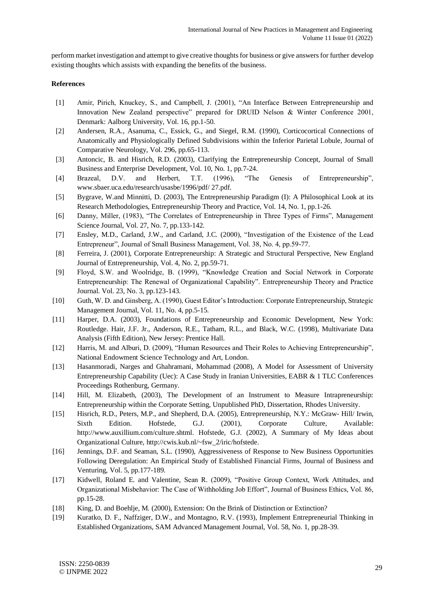perform market investigation and attempt to give creative thoughts for business or give answers for further develop existing thoughts which assists with expanding the benefits of the business.

#### **References**

- [1] Amir, Pirich, Knuckey, S., and Campbell, J. (2001), "An Interface Between Entrepreneurship and Innovation New Zealand perspective" prepared for DRUID Nelson & Winter Conference 2001, Denmark: Aalborg University, Vol. 16, pp.1-50.
- [2] Andersen, R.A., Asanuma, C., Essick, G., and Siegel, R.M. (1990), Corticocortical Connections of Anatomically and Physiologically Defined Subdivisions within the Inferior Parietal Lobule, Journal of Comparative Neurology, Vol. 296, pp.65-113.
- [3] Antoncic, B. and Hisrich, R.D. (2003), Clarifying the Entrepreneurship Concept, Journal of Small Business and Enterprise Development, Vol. 10, No. 1, pp.7-24.
- [4] Brazeal, D.V. and Herbert, T.T. (1996), "The Genesis of Entrepreneurship", www.sbaer.uca.edu/research/usasbe/1996/pdf/ 27.pdf.
- [5] Bygrave, W.and Minnitti, D. (2003), The Entrepreneurship Paradigm (I): A Philosophical Look at its Research Methodologies, Entrepreneurship Theory and Practice, Vol. 14, No. 1, pp.1-26.
- [6] Danny, Miller, (1983), "The Correlates of Entrepreneurship in Three Types of Firms", Management Science Journal, Vol. 27, No. 7, pp.133-142.
- [7] Ensley, M.D., Carland, J.W., and Carland, J.C. (2000), "Investigation of the Existence of the Lead Entrepreneur", Journal of Small Business Management, Vol. 38, No. 4, pp.59-77.
- [8] Ferreira, J. (2001), Corporate Entrepreneurship: A Strategic and Structural Perspective, New England Journal of Entrepreneurship, Vol. 4, No. 2, pp.59-71.
- [9] Floyd, S.W. and Woolridge, B. (1999), "Knowledge Creation and Social Network in Corporate Entrepreneurship: The Renewal of Organizational Capability". Entrepreneurship Theory and Practice Journal. Vol. 23, No. 3, pp.123-143.
- [10] Guth, W. D. and Ginsberg, A. (1990), Guest Editor's Introduction: Corporate Entrepreneurship, Strategic Management Journal, Vol. 11, No. 4, pp.5-15.
- [11] Harper, D.A. (2003), Foundations of Entrepreneurship and Economic Development, New York: Routledge. Hair, J.F. Jr., Anderson, R.E., Tatham, R.L., and Black, W.C. (1998), Multivariate Data Analysis (Fifth Edition), New Jersey: Prentice Hall.
- [12] Harris, M. and Alburi, D. (2009), "Human Resources and Their Roles to Achieving Entrepreneurship", National Endowment Science Technology and Art, London.
- [13] Hasanmoradi, Narges and Ghahramani, Mohammad (2008), A Model for Assessment of University Entrepreneurship Capability (Uec): A Case Study in Iranian Universities, EABR & 1 TLC Conferences Proceedings Rothenburg, Germany.
- [14] Hill, M. Elizabeth, (2003), The Development of an Instrument to Measure Intrapreneurship: Entrepreneurship within the Corporate Setting, Unpublished PhD, Dissertation, Rhodes University.
- [15] Hisrich, R.D., Peters, M.P., and Shepherd, D.A. (2005), Entrepreneurship, N.Y.: McGraw- Hill/ Irwin, Sixth Edition. Hofstede, G.J. (2001), Corporate Culture, Available: http://www.auxillium.com/culture.shtml. Hofstede, G.J. (2002), A Summary of My Ideas about Organizational Culture, http://cwis.kub.nl/~fsw\_2/iric/hofstede.
- [16] Jennings, D.F. and Seaman, S.L. (1990), Aggressiveness of Response to New Business Opportunities Following Deregulation: An Empirical Study of Established Financial Firms, Journal of Business and Venturing, Vol. 5, pp.177-189.
- [17] Kidwell, Roland E. and Valentine, Sean R. (2009), "Positive Group Context, Work Attitudes, and Organizational Misbehavior: The Case of Withholding Job Effort", Journal of Business Ethics, Vol. 86, pp.15-28.
- [18] King, D. and Boehlje, M. (2000), Extension: On the Brink of Distinction or Extinction?
- [19] Kuratko, D. F., Naffziger, D.W., and Montagno, R.V. (1993), Implement Entrepreneurial Thinking in Established Organizations, SAM Advanced Management Journal, Vol. 58, No. 1, pp.28-39.